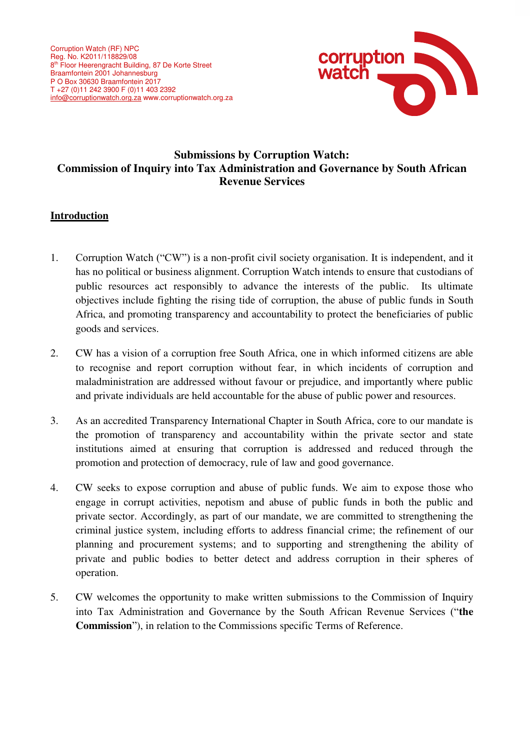

# **Submissions by Corruption Watch: Commission of Inquiry into Tax Administration and Governance by South African Revenue Services**

# **Introduction**

- 1. Corruption Watch ("CW") is a non-profit civil society organisation. It is independent, and it has no political or business alignment. Corruption Watch intends to ensure that custodians of public resources act responsibly to advance the interests of the public. Its ultimate objectives include fighting the rising tide of corruption, the abuse of public funds in South Africa, and promoting transparency and accountability to protect the beneficiaries of public goods and services.
- 2. CW has a vision of a corruption free South Africa, one in which informed citizens are able to recognise and report corruption without fear, in which incidents of corruption and maladministration are addressed without favour or prejudice, and importantly where public and private individuals are held accountable for the abuse of public power and resources.
- 3. As an accredited Transparency International Chapter in South Africa, core to our mandate is the promotion of transparency and accountability within the private sector and state institutions aimed at ensuring that corruption is addressed and reduced through the promotion and protection of democracy, rule of law and good governance.
- 4. CW seeks to expose corruption and abuse of public funds. We aim to expose those who engage in corrupt activities, nepotism and abuse of public funds in both the public and private sector. Accordingly, as part of our mandate, we are committed to strengthening the criminal justice system, including efforts to address financial crime; the refinement of our planning and procurement systems; and to supporting and strengthening the ability of private and public bodies to better detect and address corruption in their spheres of operation.
- 5. CW welcomes the opportunity to make written submissions to the Commission of Inquiry into Tax Administration and Governance by the South African Revenue Services ("**the Commission**"), in relation to the Commissions specific Terms of Reference.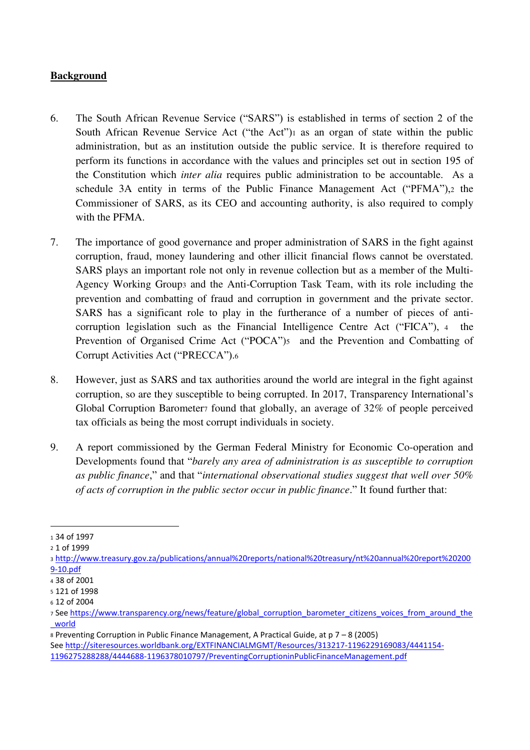### **Background**

- 6. The South African Revenue Service ("SARS") is established in terms of section 2 of the South African Revenue Service Act ("the Act")1 as an organ of state within the public administration, but as an institution outside the public service. It is therefore required to perform its functions in accordance with the values and principles set out in section 195 of the Constitution which *inter alia* requires public administration to be accountable. As a schedule 3A entity in terms of the Public Finance Management Act ("PFMA"),2 the Commissioner of SARS, as its CEO and accounting authority, is also required to comply with the PFMA.
- 7. The importance of good governance and proper administration of SARS in the fight against corruption, fraud, money laundering and other illicit financial flows cannot be overstated. SARS plays an important role not only in revenue collection but as a member of the Multi-Agency Working Group3 and the Anti-Corruption Task Team, with its role including the prevention and combatting of fraud and corruption in government and the private sector. SARS has a significant role to play in the furtherance of a number of pieces of anticorruption legislation such as the Financial Intelligence Centre Act ("FICA"), <sup>4</sup> the Prevention of Organised Crime Act ("POCA")<sub>5</sub> and the Prevention and Combatting of Corrupt Activities Act ("PRECCA").<sup>6</sup>
- 8. However, just as SARS and tax authorities around the world are integral in the fight against corruption, so are they susceptible to being corrupted. In 2017, Transparency International's Global Corruption Barometer7 found that globally, an average of 32% of people perceived tax officials as being the most corrupt individuals in society.
- 9. A report commissioned by the German Federal Ministry for Economic Co-operation and Developments found that "*barely any area of administration is as susceptible to corruption as public finance*," and that "*international observational studies suggest that well over 50% of acts of corruption in the public sector occur in public finance*." It found further that:

<sup>1</sup> 34 of 1997

<sup>2</sup> 1 of 1999

<sup>3</sup> [http://www.treasury.gov.za/publications/annual%20reports/national%20treasury/nt%20annual%20report%20200](http://www.treasury.gov.za/publications/annual%20reports/national%20treasury/nt%20annual%20report%202009-10.pdf) [9-10.pdf](http://www.treasury.gov.za/publications/annual%20reports/national%20treasury/nt%20annual%20report%202009-10.pdf) 

<sup>4</sup> 38 of 2001

<sup>5</sup> 121 of 1998

<sup>6</sup> 12 of 2004

<sup>7</sup> See [https://www.transparency.org/news/feature/global\\_corruption\\_barometer\\_citizens\\_voices\\_from\\_around\\_the](https://www.transparency.org/news/feature/global_corruption_barometer_citizens_voices_from_around_the_world) [\\_world](https://www.transparency.org/news/feature/global_corruption_barometer_citizens_voices_from_around_the_world) 

<sup>8</sup> Preventing Corruption in Public Finance Management, A Practical Guide, at p 7 – 8 (2005) Se[e http://siteresources.worldbank.org/EXTFINANCIALMGMT/Resources/313217-1196229169083/4441154-](http://siteresources.worldbank.org/EXTFINANCIALMGMT/Resources/313217-1196229169083/4441154-1196275288288/4444688-1196378010797/PreventingCorruptioninPublicFinanceManagement.pdf) [1196275288288/4444688-1196378010797/PreventingCorruptioninPublicFinanceManagement.pdf](http://siteresources.worldbank.org/EXTFINANCIALMGMT/Resources/313217-1196229169083/4441154-1196275288288/4444688-1196378010797/PreventingCorruptioninPublicFinanceManagement.pdf)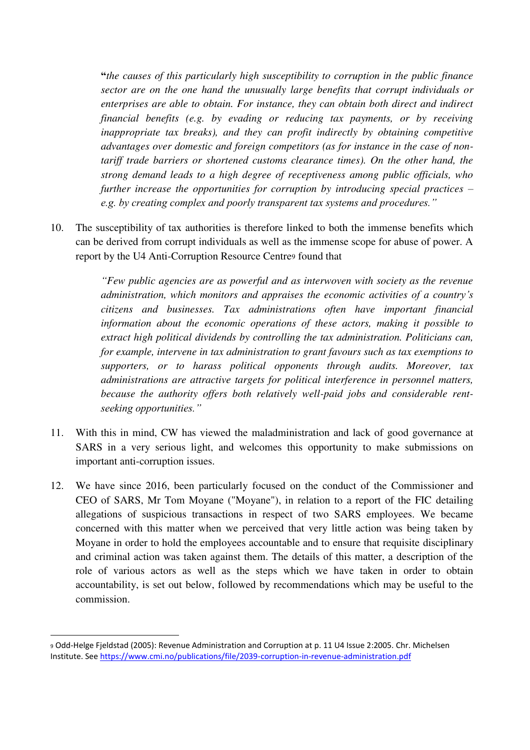**"***the causes of this particularly high susceptibility to corruption in the public finance sector are on the one hand the unusually large benefits that corrupt individuals or enterprises are able to obtain. For instance, they can obtain both direct and indirect financial benefits (e.g. by evading or reducing tax payments, or by receiving inappropriate tax breaks), and they can profit indirectly by obtaining competitive advantages over domestic and foreign competitors (as for instance in the case of nontariff trade barriers or shortened customs clearance times). On the other hand, the strong demand leads to a high degree of receptiveness among public officials, who further increase the opportunities for corruption by introducing special practices – e.g. by creating complex and poorly transparent tax systems and procedures."* 

10. The susceptibility of tax authorities is therefore linked to both the immense benefits which can be derived from corrupt individuals as well as the immense scope for abuse of power. A report by the U4 Anti-Corruption Resource Centre<sub>9</sub> found that

> *"Few public agencies are as powerful and as interwoven with society as the revenue administration, which monitors and appraises the economic activities of a country's citizens and businesses. Tax administrations often have important financial information about the economic operations of these actors, making it possible to extract high political dividends by controlling the tax administration. Politicians can, for example, intervene in tax administration to grant favours such as tax exemptions to supporters, or to harass political opponents through audits. Moreover, tax administrations are attractive targets for political interference in personnel matters, because the authority offers both relatively well-paid jobs and considerable rentseeking opportunities."*

- 11. With this in mind, CW has viewed the maladministration and lack of good governance at SARS in a very serious light, and welcomes this opportunity to make submissions on important anti-corruption issues.
- 12. We have since 2016, been particularly focused on the conduct of the Commissioner and CEO of SARS, Mr Tom Moyane ("Moyane"), in relation to a report of the FIC detailing allegations of suspicious transactions in respect of two SARS employees. We became concerned with this matter when we perceived that very little action was being taken by Moyane in order to hold the employees accountable and to ensure that requisite disciplinary and criminal action was taken against them. The details of this matter, a description of the role of various actors as well as the steps which we have taken in order to obtain accountability, is set out below, followed by recommendations which may be useful to the commission.

<sup>9</sup> Odd-Helge Fjeldstad (2005): Revenue Administration and Corruption at p. 11 U4 Issue 2:2005. Chr. Michelsen Institute. Se[e https://www.cmi.no/publications/file/2039-corruption-in-revenue-administration.pdf](https://www.cmi.no/publications/file/2039-corruption-in-revenue-administration.pdf)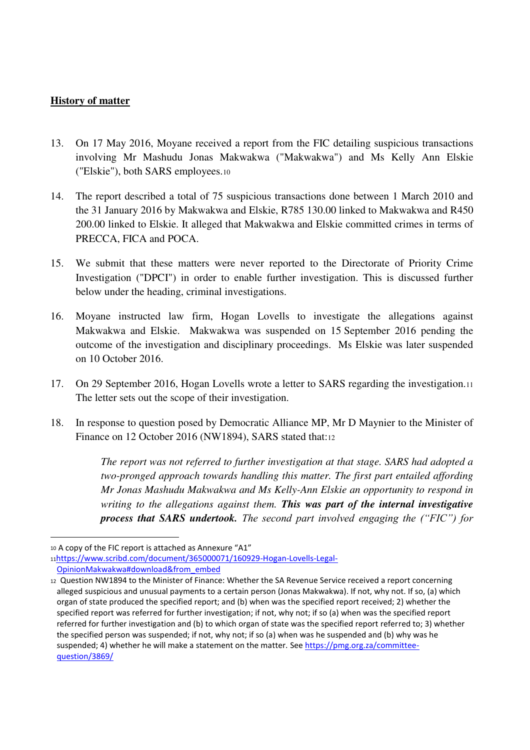### **History of matter**

- 13. On 17 May 2016, Moyane received a report from the FIC detailing suspicious transactions involving Mr Mashudu Jonas Makwakwa ("Makwakwa") and Ms Kelly Ann Elskie ("Elskie"), both SARS employees.<sup>10</sup>
- 14. The report described a total of 75 suspicious transactions done between 1 March 2010 and the 31 January 2016 by Makwakwa and Elskie, R785 130.00 linked to Makwakwa and R450 200.00 linked to Elskie. It alleged that Makwakwa and Elskie committed crimes in terms of PRECCA, FICA and POCA.
- 15. We submit that these matters were never reported to the Directorate of Priority Crime Investigation ("DPCI") in order to enable further investigation. This is discussed further below under the heading, criminal investigations.
- 16. Moyane instructed law firm, Hogan Lovells to investigate the allegations against Makwakwa and Elskie. Makwakwa was suspended on 15 September 2016 pending the outcome of the investigation and disciplinary proceedings. Ms Elskie was later suspended on 10 October 2016.
- 17. On 29 September 2016, Hogan Lovells wrote a letter to SARS regarding the investigation.<sup>11</sup> The letter sets out the scope of their investigation.
- 18. In response to question posed by Democratic Alliance MP, Mr D Maynier to the Minister of Finance on 12 October 2016 (NW1894), SARS stated that:<sup>12</sup>

*The report was not referred to further investigation at that stage. SARS had adopted a two-pronged approach towards handling this matter. The first part entailed affording Mr Jonas Mashudu Makwakwa and Ms Kelly-Ann Elskie an opportunity to respond in writing to the allegations against them. This was part of the internal investigative process that SARS undertook. The second part involved engaging the ("FIC") for* 

<sup>10</sup> A copy of the FIC report is attached as Annexure "A1"

<sup>11</sup>[https://www.scribd.com/document/365000071/160929-Hogan-Lovells-Legal-](https://www.scribd.com/document/365000071/160929-Hogan-Lovells-Legal-OpinionMakwakwa#download&from_embed)[OpinionMakwakwa#download&from\\_embed](https://www.scribd.com/document/365000071/160929-Hogan-Lovells-Legal-OpinionMakwakwa#download&from_embed) 

<sup>12</sup> Question NW1894 to the Minister of Finance: Whether the SA Revenue Service received a report concerning alleged suspicious and unusual payments to a certain person (Jonas Makwakwa). If not, why not. If so, (a) which organ of state produced the specified report; and (b) when was the specified report received; 2) whether the specified report was referred for further investigation; if not, why not; if so (a) when was the specified report referred for further investigation and (b) to which organ of state was the specified report referred to; 3) whether the specified person was suspended; if not, why not; if so (a) when was he suspended and (b) why was he suspended; 4) whether he will make a statement on the matter. Se[e https://pmg.org.za/committee](https://pmg.org.za/committee-question/3869/)[question/3869/](https://pmg.org.za/committee-question/3869/)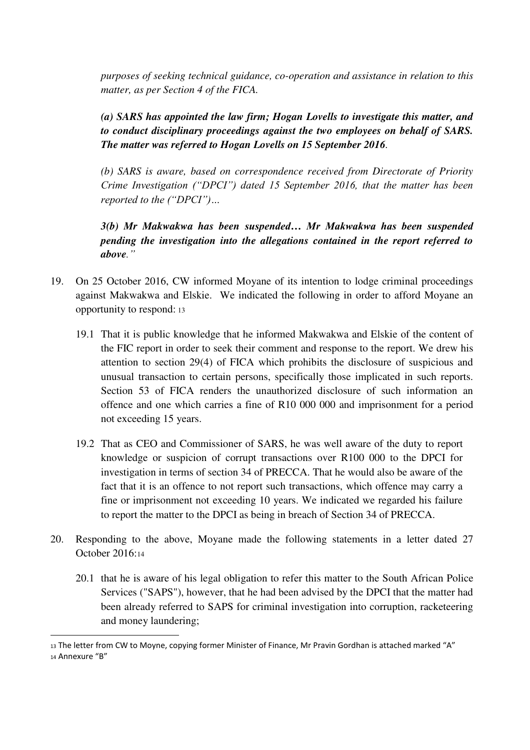*purposes of seeking technical guidance, co-operation and assistance in relation to this matter, as per Section 4 of the FICA.* 

*(a) SARS has appointed the law firm; Hogan Lovells to investigate this matter, and to conduct disciplinary proceedings against the two employees on behalf of SARS. The matter was referred to Hogan Lovells on 15 September 2016.* 

*(b) SARS is aware, based on correspondence received from Directorate of Priority Crime Investigation ("DPCI") dated 15 September 2016, that the matter has been reported to the ("DPCI")…*

*3(b) Mr Makwakwa has been suspended… Mr Makwakwa has been suspended pending the investigation into the allegations contained in the report referred to above."*

- 19. On 25 October 2016, CW informed Moyane of its intention to lodge criminal proceedings against Makwakwa and Elskie. We indicated the following in order to afford Moyane an opportunity to respond: <sup>13</sup>
	- 19.1 That it is public knowledge that he informed Makwakwa and Elskie of the content of the FIC report in order to seek their comment and response to the report. We drew his attention to section 29(4) of FICA which prohibits the disclosure of suspicious and unusual transaction to certain persons, specifically those implicated in such reports. Section 53 of FICA renders the unauthorized disclosure of such information an offence and one which carries a fine of R10 000 000 and imprisonment for a period not exceeding 15 years.
	- 19.2 That as CEO and Commissioner of SARS, he was well aware of the duty to report knowledge or suspicion of corrupt transactions over R100 000 to the DPCI for investigation in terms of section 34 of PRECCA. That he would also be aware of the fact that it is an offence to not report such transactions, which offence may carry a fine or imprisonment not exceeding 10 years. We indicated we regarded his failure to report the matter to the DPCI as being in breach of Section 34 of PRECCA.
- 20. Responding to the above, Moyane made the following statements in a letter dated 27 October 2016:<sup>14</sup>
	- 20.1 that he is aware of his legal obligation to refer this matter to the South African Police Services ("SAPS"), however, that he had been advised by the DPCI that the matter had been already referred to SAPS for criminal investigation into corruption, racketeering and money laundering;

<sup>13</sup> The letter from CW to Moyne, copying former Minister of Finance, Mr Pravin Gordhan is attached marked "A" <sup>14</sup> Annexure "B"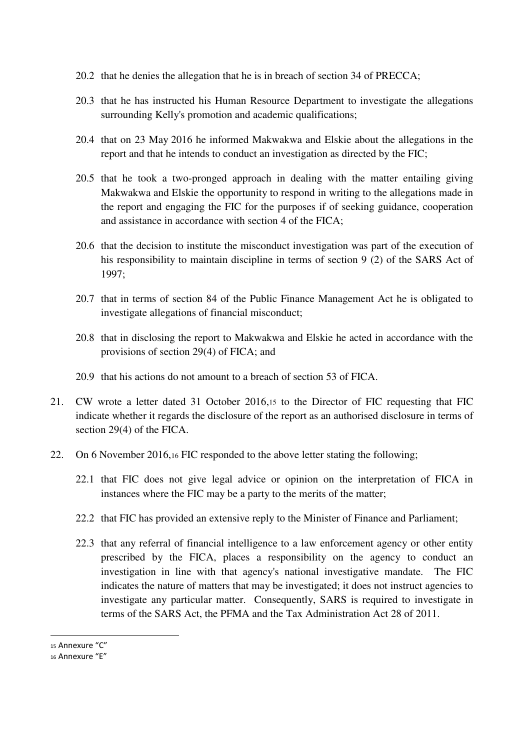- 20.2 that he denies the allegation that he is in breach of section 34 of PRECCA;
- 20.3 that he has instructed his Human Resource Department to investigate the allegations surrounding Kelly's promotion and academic qualifications;
- 20.4 that on 23 May 2016 he informed Makwakwa and Elskie about the allegations in the report and that he intends to conduct an investigation as directed by the FIC;
- 20.5 that he took a two-pronged approach in dealing with the matter entailing giving Makwakwa and Elskie the opportunity to respond in writing to the allegations made in the report and engaging the FIC for the purposes if of seeking guidance, cooperation and assistance in accordance with section 4 of the FICA;
- 20.6 that the decision to institute the misconduct investigation was part of the execution of his responsibility to maintain discipline in terms of section 9 (2) of the SARS Act of 1997;
- 20.7 that in terms of section 84 of the Public Finance Management Act he is obligated to investigate allegations of financial misconduct;
- 20.8 that in disclosing the report to Makwakwa and Elskie he acted in accordance with the provisions of section 29(4) of FICA; and
- 20.9 that his actions do not amount to a breach of section 53 of FICA.
- 21. CW wrote a letter dated 31 October 2016,15 to the Director of FIC requesting that FIC indicate whether it regards the disclosure of the report as an authorised disclosure in terms of section 29(4) of the FICA.
- 22. On 6 November 2016,16 FIC responded to the above letter stating the following;
	- 22.1 that FIC does not give legal advice or opinion on the interpretation of FICA in instances where the FIC may be a party to the merits of the matter;
	- 22.2 that FIC has provided an extensive reply to the Minister of Finance and Parliament;
	- 22.3 that any referral of financial intelligence to a law enforcement agency or other entity prescribed by the FICA, places a responsibility on the agency to conduct an investigation in line with that agency's national investigative mandate. The FIC indicates the nature of matters that may be investigated; it does not instruct agencies to investigate any particular matter. Consequently, SARS is required to investigate in terms of the SARS Act, the PFMA and the Tax Administration Act 28 of 2011.

<sup>15</sup> Annexure "C"

<sup>16</sup> Annexure "E"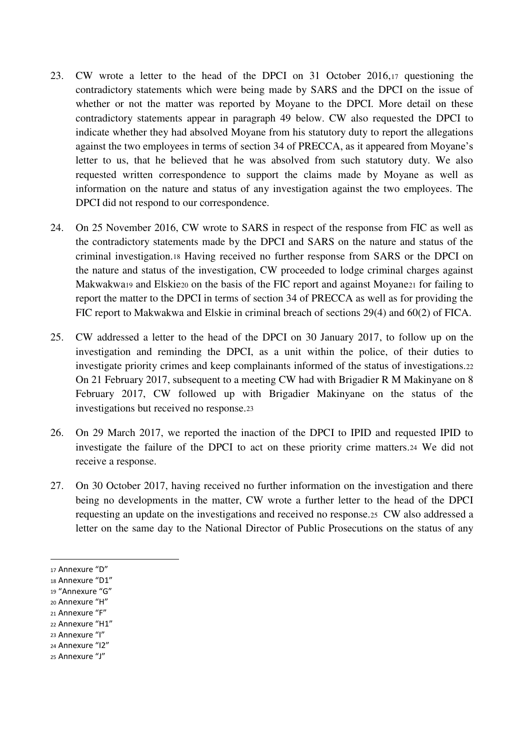- 23. CW wrote a letter to the head of the DPCI on 31 October 2016,17 questioning the contradictory statements which were being made by SARS and the DPCI on the issue of whether or not the matter was reported by Moyane to the DPCI. More detail on these contradictory statements appear in paragraph 49 below. CW also requested the DPCI to indicate whether they had absolved Moyane from his statutory duty to report the allegations against the two employees in terms of section 34 of PRECCA, as it appeared from Moyane's letter to us, that he believed that he was absolved from such statutory duty. We also requested written correspondence to support the claims made by Moyane as well as information on the nature and status of any investigation against the two employees. The DPCI did not respond to our correspondence.
- 24. On 25 November 2016, CW wrote to SARS in respect of the response from FIC as well as the contradictory statements made by the DPCI and SARS on the nature and status of the criminal investigation.18 Having received no further response from SARS or the DPCI on the nature and status of the investigation, CW proceeded to lodge criminal charges against Makwakwa19 and Elskie20 on the basis of the FIC report and against Moyane21 for failing to report the matter to the DPCI in terms of section 34 of PRECCA as well as for providing the FIC report to Makwakwa and Elskie in criminal breach of sections 29(4) and 60(2) of FICA.
- 25. CW addressed a letter to the head of the DPCI on 30 January 2017, to follow up on the investigation and reminding the DPCI, as a unit within the police, of their duties to investigate priority crimes and keep complainants informed of the status of investigations.<sup>22</sup> On 21 February 2017, subsequent to a meeting CW had with Brigadier R M Makinyane on 8 February 2017, CW followed up with Brigadier Makinyane on the status of the investigations but received no response.<sup>23</sup>
- 26. On 29 March 2017, we reported the inaction of the DPCI to IPID and requested IPID to investigate the failure of the DPCI to act on these priority crime matters.24 We did not receive a response.
- 27. On 30 October 2017, having received no further information on the investigation and there being no developments in the matter, CW wrote a further letter to the head of the DPCI requesting an update on the investigations and received no response.25 CW also addressed a letter on the same day to the National Director of Public Prosecutions on the status of any

- <sup>18</sup> Annexure "D1"
- <sup>19</sup> "Annexure "G"
- <sup>20</sup> Annexure "H"
- <sup>21</sup> Annexure "F"
- <sup>22</sup> Annexure "H1" <sup>23</sup> Annexure "I"
- <sup>24</sup> Annexure "I2"
- <sup>25</sup> Annexure "J"

<sup>17</sup> Annexure "D"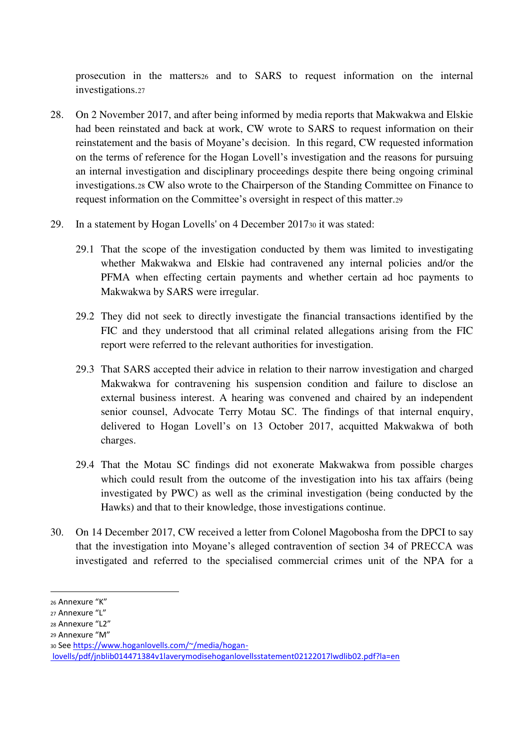prosecution in the matters26 and to SARS to request information on the internal investigations.<sup>27</sup>

- 28. On 2 November 2017, and after being informed by media reports that Makwakwa and Elskie had been reinstated and back at work, CW wrote to SARS to request information on their reinstatement and the basis of Moyane's decision. In this regard, CW requested information on the terms of reference for the Hogan Lovell's investigation and the reasons for pursuing an internal investigation and disciplinary proceedings despite there being ongoing criminal investigations.28 CW also wrote to the Chairperson of the Standing Committee on Finance to request information on the Committee's oversight in respect of this matter.<sup>29</sup>
- 29. In a statement by Hogan Lovells' on 4 December 201730 it was stated:
	- 29.1 That the scope of the investigation conducted by them was limited to investigating whether Makwakwa and Elskie had contravened any internal policies and/or the PFMA when effecting certain payments and whether certain ad hoc payments to Makwakwa by SARS were irregular.
	- 29.2 They did not seek to directly investigate the financial transactions identified by the FIC and they understood that all criminal related allegations arising from the FIC report were referred to the relevant authorities for investigation.
	- 29.3 That SARS accepted their advice in relation to their narrow investigation and charged Makwakwa for contravening his suspension condition and failure to disclose an external business interest. A hearing was convened and chaired by an independent senior counsel, Advocate Terry Motau SC. The findings of that internal enquiry, delivered to Hogan Lovell's on 13 October 2017, acquitted Makwakwa of both charges.
	- 29.4 That the Motau SC findings did not exonerate Makwakwa from possible charges which could result from the outcome of the investigation into his tax affairs (being investigated by PWC) as well as the criminal investigation (being conducted by the Hawks) and that to their knowledge, those investigations continue.
- 30. On 14 December 2017, CW received a letter from Colonel Magobosha from the DPCI to say that the investigation into Moyane's alleged contravention of section 34 of PRECCA was investigated and referred to the specialised commercial crimes unit of the NPA for a

<sup>26</sup> Annexure "K"

<sup>27</sup> Annexure "L"

<sup>28</sup> Annexure "L2"

<sup>29</sup> Annexure "M"

<sup>30</sup> See [https://www.hoganlovells.com/~/media/hogan-](https://www.hoganlovells.com/~/media/hogan-lovells/pdf/jnblib014471384v1laverymodisehoganlovellsstatement02122017lwdlib02.pdf?la=en)

[lovells/pdf/jnblib014471384v1laverymodisehoganlovellsstatement02122017lwdlib02.pdf?la=en](https://www.hoganlovells.com/~/media/hogan-lovells/pdf/jnblib014471384v1laverymodisehoganlovellsstatement02122017lwdlib02.pdf?la=en)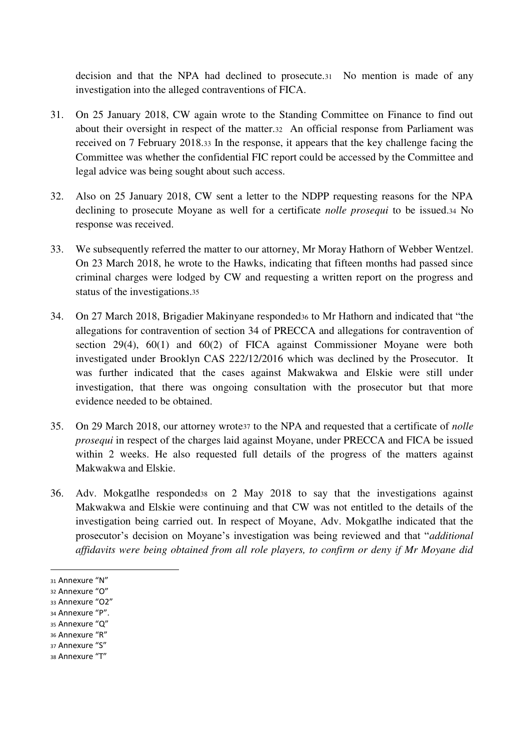decision and that the NPA had declined to prosecute.31 No mention is made of any investigation into the alleged contraventions of FICA.

- 31. On 25 January 2018, CW again wrote to the Standing Committee on Finance to find out about their oversight in respect of the matter.32 An official response from Parliament was received on 7 February 2018.33 In the response, it appears that the key challenge facing the Committee was whether the confidential FIC report could be accessed by the Committee and legal advice was being sought about such access.
- 32. Also on 25 January 2018, CW sent a letter to the NDPP requesting reasons for the NPA declining to prosecute Moyane as well for a certificate *nolle prosequi* to be issued.34 No response was received.
- 33. We subsequently referred the matter to our attorney, Mr Moray Hathorn of Webber Wentzel. On 23 March 2018, he wrote to the Hawks, indicating that fifteen months had passed since criminal charges were lodged by CW and requesting a written report on the progress and status of the investigations.<sup>35</sup>
- 34. On 27 March 2018, Brigadier Makinyane responded<sup>36</sup> to Mr Hathorn and indicated that "the allegations for contravention of section 34 of PRECCA and allegations for contravention of section 29(4), 60(1) and 60(2) of FICA against Commissioner Moyane were both investigated under Brooklyn CAS 222/12/2016 which was declined by the Prosecutor. It was further indicated that the cases against Makwakwa and Elskie were still under investigation, that there was ongoing consultation with the prosecutor but that more evidence needed to be obtained.
- 35. On 29 March 2018, our attorney wrote37 to the NPA and requested that a certificate of *nolle prosequi* in respect of the charges laid against Moyane, under PRECCA and FICA be issued within 2 weeks. He also requested full details of the progress of the matters against Makwakwa and Elskie.
- 36. Adv. Mokgatlhe responded38 on 2 May 2018 to say that the investigations against Makwakwa and Elskie were continuing and that CW was not entitled to the details of the investigation being carried out. In respect of Moyane, Adv. Mokgatlhe indicated that the prosecutor's decision on Moyane's investigation was being reviewed and that "*additional affidavits were being obtained from all role players, to confirm or deny if Mr Moyane did*

- <sup>34</sup> Annexure "P".
- <sup>35</sup> Annexure "Q"
- <sup>36</sup> Annexure "R" <sup>37</sup> Annexure "S"
- 
- <sup>38</sup> Annexure "T"

<sup>31</sup> Annexure "N"

<sup>32</sup> Annexure "O"

<sup>33</sup> Annexure "O2"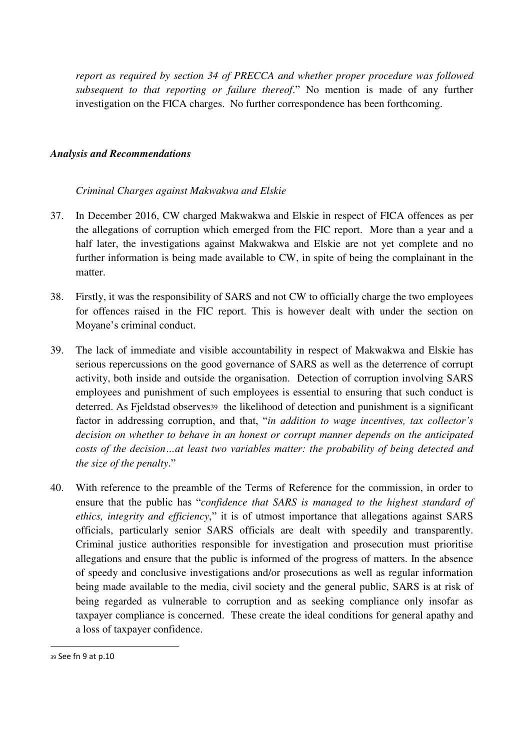*report as required by section 34 of PRECCA and whether proper procedure was followed subsequent to that reporting or failure thereof*." No mention is made of any further investigation on the FICA charges. No further correspondence has been forthcoming.

#### *Analysis and Recommendations*

#### *Criminal Charges against Makwakwa and Elskie*

- 37. In December 2016, CW charged Makwakwa and Elskie in respect of FICA offences as per the allegations of corruption which emerged from the FIC report. More than a year and a half later, the investigations against Makwakwa and Elskie are not yet complete and no further information is being made available to CW, in spite of being the complainant in the matter.
- 38. Firstly, it was the responsibility of SARS and not CW to officially charge the two employees for offences raised in the FIC report. This is however dealt with under the section on Moyane's criminal conduct.
- 39. The lack of immediate and visible accountability in respect of Makwakwa and Elskie has serious repercussions on the good governance of SARS as well as the deterrence of corrupt activity, both inside and outside the organisation. Detection of corruption involving SARS employees and punishment of such employees is essential to ensuring that such conduct is deterred. As Fjeldstad observes<sub>39</sub> the likelihood of detection and punishment is a significant factor in addressing corruption, and that, "*in addition to wage incentives, tax collector's decision on whether to behave in an honest or corrupt manner depends on the anticipated costs of the decision…at least two variables matter: the probability of being detected and the size of the penalty*."
- 40. With reference to the preamble of the Terms of Reference for the commission, in order to ensure that the public has "*confidence that SARS is managed to the highest standard of ethics, integrity and efficiency*," it is of utmost importance that allegations against SARS officials, particularly senior SARS officials are dealt with speedily and transparently. Criminal justice authorities responsible for investigation and prosecution must prioritise allegations and ensure that the public is informed of the progress of matters. In the absence of speedy and conclusive investigations and/or prosecutions as well as regular information being made available to the media, civil society and the general public, SARS is at risk of being regarded as vulnerable to corruption and as seeking compliance only insofar as taxpayer compliance is concerned. These create the ideal conditions for general apathy and a loss of taxpayer confidence.

<sup>39</sup> See fn 9 at p.10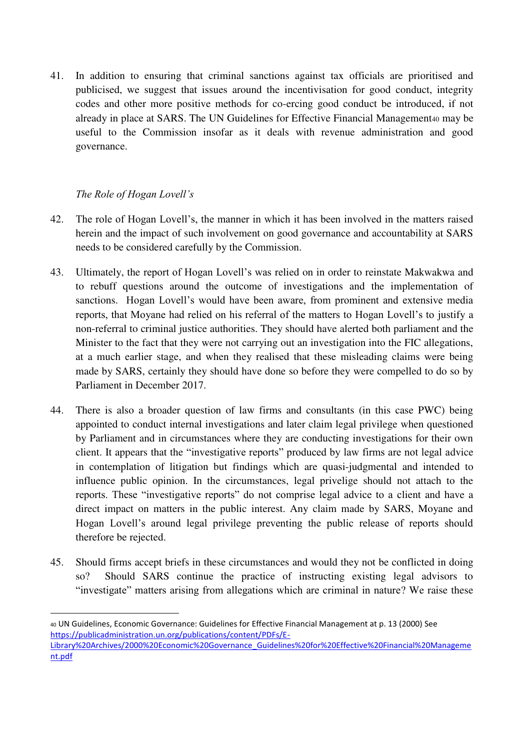41. In addition to ensuring that criminal sanctions against tax officials are prioritised and publicised, we suggest that issues around the incentivisation for good conduct, integrity codes and other more positive methods for co-ercing good conduct be introduced, if not already in place at SARS. The UN Guidelines for Effective Financial Management40 may be useful to the Commission insofar as it deals with revenue administration and good governance.

## *The Role of Hogan Lovell's*

- 42. The role of Hogan Lovell's, the manner in which it has been involved in the matters raised herein and the impact of such involvement on good governance and accountability at SARS needs to be considered carefully by the Commission.
- 43. Ultimately, the report of Hogan Lovell's was relied on in order to reinstate Makwakwa and to rebuff questions around the outcome of investigations and the implementation of sanctions. Hogan Lovell's would have been aware, from prominent and extensive media reports, that Moyane had relied on his referral of the matters to Hogan Lovell's to justify a non-referral to criminal justice authorities. They should have alerted both parliament and the Minister to the fact that they were not carrying out an investigation into the FIC allegations, at a much earlier stage, and when they realised that these misleading claims were being made by SARS, certainly they should have done so before they were compelled to do so by Parliament in December 2017.
- 44. There is also a broader question of law firms and consultants (in this case PWC) being appointed to conduct internal investigations and later claim legal privilege when questioned by Parliament and in circumstances where they are conducting investigations for their own client. It appears that the "investigative reports" produced by law firms are not legal advice in contemplation of litigation but findings which are quasi-judgmental and intended to influence public opinion. In the circumstances, legal privelige should not attach to the reports. These "investigative reports" do not comprise legal advice to a client and have a direct impact on matters in the public interest. Any claim made by SARS, Moyane and Hogan Lovell's around legal privilege preventing the public release of reports should therefore be rejected.
- 45. Should firms accept briefs in these circumstances and would they not be conflicted in doing so? Should SARS continue the practice of instructing existing legal advisors to "investigate" matters arising from allegations which are criminal in nature? We raise these

<sup>40</sup> UN Guidelines, Economic Governance: Guidelines for Effective Financial Management at p. 13 (2000) See [https://publicadministration.un.org/publications/content/PDFs/E-](https://publicadministration.un.org/publications/content/PDFs/E-Library%20Archives/2000%20Economic%20Governance_Guidelines%20for%20Effective%20Financial%20Management.pdf)[Library%20Archives/2000%20Economic%20Governance\\_Guidelines%20for%20Effective%20Financial%20Manageme](https://publicadministration.un.org/publications/content/PDFs/E-Library%20Archives/2000%20Economic%20Governance_Guidelines%20for%20Effective%20Financial%20Management.pdf) [nt.pdf](https://publicadministration.un.org/publications/content/PDFs/E-Library%20Archives/2000%20Economic%20Governance_Guidelines%20for%20Effective%20Financial%20Management.pdf)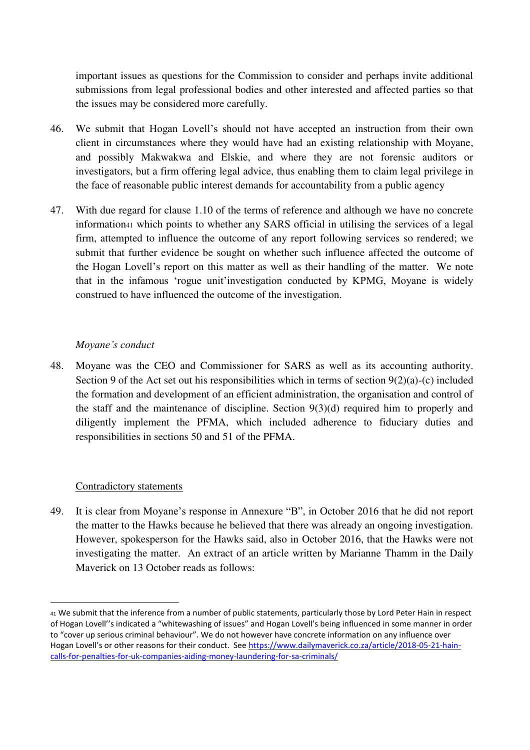important issues as questions for the Commission to consider and perhaps invite additional submissions from legal professional bodies and other interested and affected parties so that the issues may be considered more carefully.

- 46. We submit that Hogan Lovell's should not have accepted an instruction from their own client in circumstances where they would have had an existing relationship with Moyane, and possibly Makwakwa and Elskie, and where they are not forensic auditors or investigators, but a firm offering legal advice, thus enabling them to claim legal privilege in the face of reasonable public interest demands for accountability from a public agency
- 47. With due regard for clause 1.10 of the terms of reference and although we have no concrete information41 which points to whether any SARS official in utilising the services of a legal firm, attempted to influence the outcome of any report following services so rendered; we submit that further evidence be sought on whether such influence affected the outcome of the Hogan Lovell's report on this matter as well as their handling of the matter. We note that in the infamous 'rogue unit'investigation conducted by KPMG, Moyane is widely construed to have influenced the outcome of the investigation.

## *Moyane's conduct*

48. Moyane was the CEO and Commissioner for SARS as well as its accounting authority. Section 9 of the Act set out his responsibilities which in terms of section  $9(2)(a)-(c)$  included the formation and development of an efficient administration, the organisation and control of the staff and the maintenance of discipline. Section 9(3)(d) required him to properly and diligently implement the PFMA, which included adherence to fiduciary duties and responsibilities in sections 50 and 51 of the PFMA.

#### Contradictory statements

 $\overline{a}$ 

49. It is clear from Moyane's response in Annexure "B", in October 2016 that he did not report the matter to the Hawks because he believed that there was already an ongoing investigation. However, spokesperson for the Hawks said, also in October 2016, that the Hawks were not investigating the matter. An extract of an article written by Marianne Thamm in the Daily Maverick on 13 October reads as follows:

<sup>41</sup> We submit that the inference from a number of public statements, particularly those by Lord Peter Hain in respect of Hogan Lovell''s indicated a "whitewashing of issues" and Hogan Lovell's being influenced in some manner in order to "cover up serious criminal behaviour". We do not however have concrete information on any influence over Hogan Lovell's or other reasons for their conduct. See [https://www.dailymaverick.co.za/article/2018-05-21-hain](https://www.dailymaverick.co.za/article/2018-05-21-hain-calls-for-penalties-for-uk-companies-aiding-money-laundering-for-sa-criminals/)[calls-for-penalties-for-uk-companies-aiding-money-laundering-for-sa-criminals/](https://www.dailymaverick.co.za/article/2018-05-21-hain-calls-for-penalties-for-uk-companies-aiding-money-laundering-for-sa-criminals/)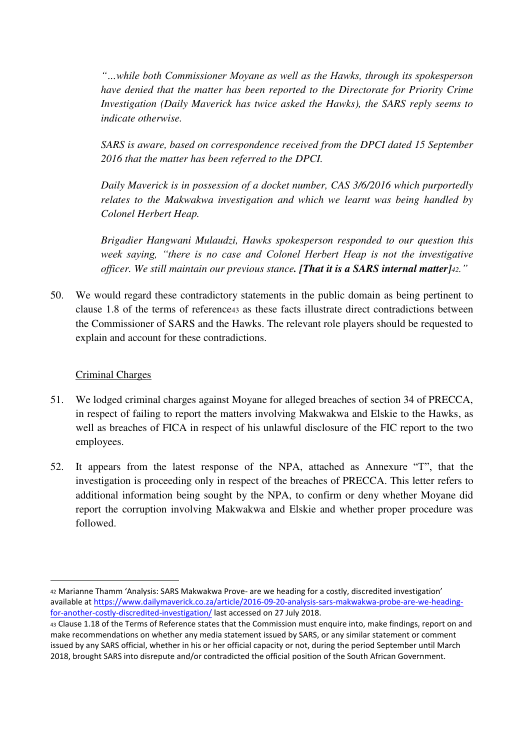*"…while both Commissioner Moyane as well as the Hawks, through its spokesperson have denied that the matter has been reported to the Directorate for Priority Crime Investigation (Daily Maverick has twice asked the Hawks), the SARS reply seems to indicate otherwise.* 

*SARS is aware, based on correspondence received from the DPCI dated 15 September 2016 that the matter has been referred to the DPCI.* 

*Daily Maverick is in possession of a docket number, CAS 3/6/2016 which purportedly relates to the Makwakwa investigation and which we learnt was being handled by Colonel Herbert Heap.* 

*Brigadier Hangwani Mulaudzi, Hawks spokesperson responded to our question this week saying, "there is no case and Colonel Herbert Heap is not the investigative officer. We still maintain our previous stance. [That it is a SARS internal matter]42."*

50. We would regard these contradictory statements in the public domain as being pertinent to clause 1.8 of the terms of reference43 as these facts illustrate direct contradictions between the Commissioner of SARS and the Hawks. The relevant role players should be requested to explain and account for these contradictions.

## Criminal Charges

- 51. We lodged criminal charges against Moyane for alleged breaches of section 34 of PRECCA, in respect of failing to report the matters involving Makwakwa and Elskie to the Hawks, as well as breaches of FICA in respect of his unlawful disclosure of the FIC report to the two employees.
- 52. It appears from the latest response of the NPA, attached as Annexure "T", that the investigation is proceeding only in respect of the breaches of PRECCA. This letter refers to additional information being sought by the NPA, to confirm or deny whether Moyane did report the corruption involving Makwakwa and Elskie and whether proper procedure was followed.

<sup>42</sup> Marianne Thamm 'Analysis: SARS Makwakwa Prove- are we heading for a costly, discredited investigation' available at [https://www.dailymaverick.co.za/article/2016-09-20-analysis-sars-makwakwa-probe-are-we-heading](https://www.dailymaverick.co.za/article/2016-09-20-analysis-sars-makwakwa-probe-are-we-heading-for-another-costly-discredited-investigation/)[for-another-costly-discredited-investigation/](https://www.dailymaverick.co.za/article/2016-09-20-analysis-sars-makwakwa-probe-are-we-heading-for-another-costly-discredited-investigation/) last accessed on 27 July 2018.

<sup>43</sup> Clause 1.18 of the Terms of Reference states that the Commission must enquire into, make findings, report on and make recommendations on whether any media statement issued by SARS, or any similar statement or comment issued by any SARS official, whether in his or her official capacity or not, during the period September until March 2018, brought SARS into disrepute and/or contradicted the official position of the South African Government.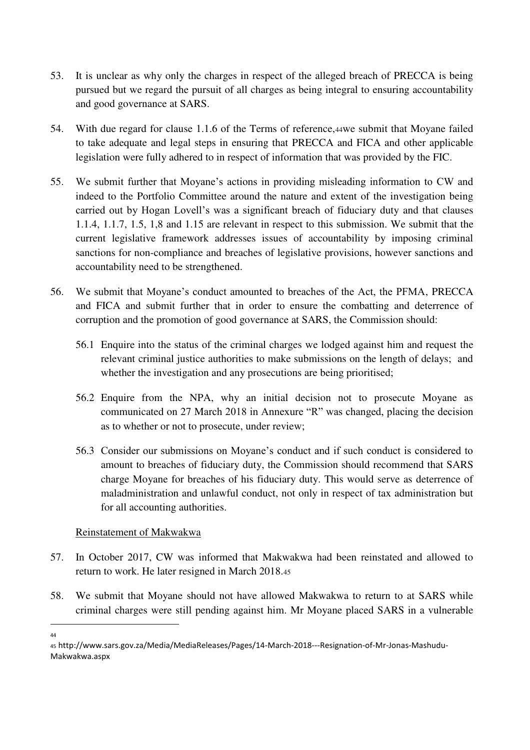- 53. It is unclear as why only the charges in respect of the alleged breach of PRECCA is being pursued but we regard the pursuit of all charges as being integral to ensuring accountability and good governance at SARS.
- 54. With due regard for clause 1.1.6 of the Terms of reference,44we submit that Moyane failed to take adequate and legal steps in ensuring that PRECCA and FICA and other applicable legislation were fully adhered to in respect of information that was provided by the FIC.
- 55. We submit further that Moyane's actions in providing misleading information to CW and indeed to the Portfolio Committee around the nature and extent of the investigation being carried out by Hogan Lovell's was a significant breach of fiduciary duty and that clauses 1.1.4, 1.1.7, 1.5, 1,8 and 1.15 are relevant in respect to this submission. We submit that the current legislative framework addresses issues of accountability by imposing criminal sanctions for non-compliance and breaches of legislative provisions, however sanctions and accountability need to be strengthened.
- 56. We submit that Moyane's conduct amounted to breaches of the Act, the PFMA, PRECCA and FICA and submit further that in order to ensure the combatting and deterrence of corruption and the promotion of good governance at SARS, the Commission should:
	- 56.1 Enquire into the status of the criminal charges we lodged against him and request the relevant criminal justice authorities to make submissions on the length of delays; and whether the investigation and any prosecutions are being prioritised;
	- 56.2 Enquire from the NPA, why an initial decision not to prosecute Moyane as communicated on 27 March 2018 in Annexure "R" was changed, placing the decision as to whether or not to prosecute, under review;
	- 56.3 Consider our submissions on Moyane's conduct and if such conduct is considered to amount to breaches of fiduciary duty, the Commission should recommend that SARS charge Moyane for breaches of his fiduciary duty. This would serve as deterrence of maladministration and unlawful conduct, not only in respect of tax administration but for all accounting authorities.

## Reinstatement of Makwakwa

- 57. In October 2017, CW was informed that Makwakwa had been reinstated and allowed to return to work. He later resigned in March 2018.<sup>45</sup>
- 58. We submit that Moyane should not have allowed Makwakwa to return to at SARS while criminal charges were still pending against him. Mr Moyane placed SARS in a vulnerable l

<sup>44</sup>

<sup>45</sup> http://www.sars.gov.za/Media/MediaReleases/Pages/14-March-2018---Resignation-of-Mr-Jonas-Mashudu-Makwakwa.aspx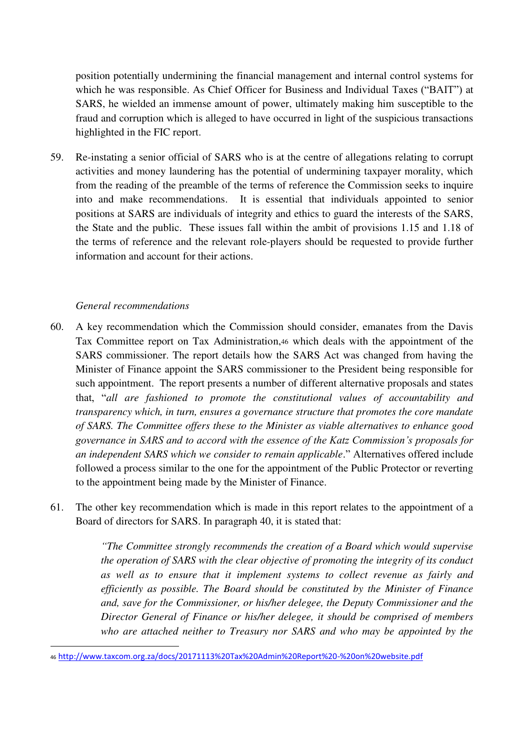position potentially undermining the financial management and internal control systems for which he was responsible. As Chief Officer for Business and Individual Taxes ("BAIT") at SARS, he wielded an immense amount of power, ultimately making him susceptible to the fraud and corruption which is alleged to have occurred in light of the suspicious transactions highlighted in the FIC report.

59. Re-instating a senior official of SARS who is at the centre of allegations relating to corrupt activities and money laundering has the potential of undermining taxpayer morality, which from the reading of the preamble of the terms of reference the Commission seeks to inquire into and make recommendations. It is essential that individuals appointed to senior positions at SARS are individuals of integrity and ethics to guard the interests of the SARS, the State and the public. These issues fall within the ambit of provisions 1.15 and 1.18 of the terms of reference and the relevant role-players should be requested to provide further information and account for their actions.

#### *General recommendations*

 $\overline{a}$ 

- 60. A key recommendation which the Commission should consider, emanates from the Davis Tax Committee report on Tax Administration,46 which deals with the appointment of the SARS commissioner. The report details how the SARS Act was changed from having the Minister of Finance appoint the SARS commissioner to the President being responsible for such appointment. The report presents a number of different alternative proposals and states that, "*all are fashioned to promote the constitutional values of accountability and transparency which, in turn, ensures a governance structure that promotes the core mandate of SARS. The Committee offers these to the Minister as viable alternatives to enhance good governance in SARS and to accord with the essence of the Katz Commission's proposals for an independent SARS which we consider to remain applicable*." Alternatives offered include followed a process similar to the one for the appointment of the Public Protector or reverting to the appointment being made by the Minister of Finance.
- 61. The other key recommendation which is made in this report relates to the appointment of a Board of directors for SARS. In paragraph 40, it is stated that:

*"The Committee strongly recommends the creation of a Board which would supervise the operation of SARS with the clear objective of promoting the integrity of its conduct as well as to ensure that it implement systems to collect revenue as fairly and efficiently as possible. The Board should be constituted by the Minister of Finance and, save for the Commissioner, or his/her delegee, the Deputy Commissioner and the Director General of Finance or his/her delegee, it should be comprised of members who are attached neither to Treasury nor SARS and who may be appointed by the* 

<sup>46</sup> <http://www.taxcom.org.za/docs/20171113%20Tax%20Admin%20Report%20-%20on%20website.pdf>